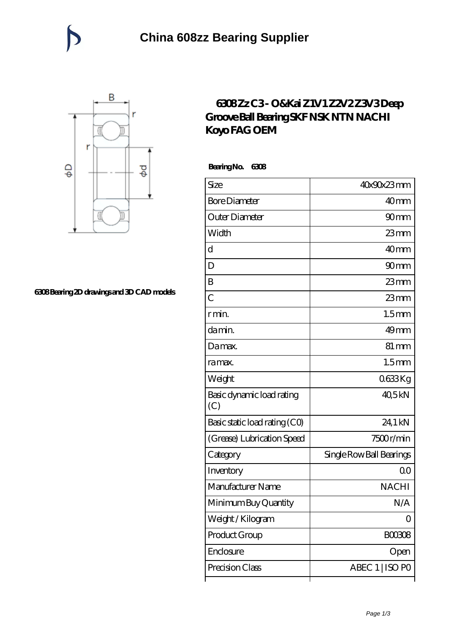

## **[6308 Bearing 2D drawings and 3D CAD models](https://catchios.com/pic-592299.html)**

## **[6308 Zz C3 - O&Kai Z1V1 Z2V2 Z3V3 Deep](https://catchios.com/fag-c3-bearing/nachi-6308.html) [Groove Ball Bearing SKF NSK NTN NACHI](https://catchios.com/fag-c3-bearing/nachi-6308.html) [Koyo FAG OEM](https://catchios.com/fag-c3-bearing/nachi-6308.html)**

 **Bearing No. 6308**

| Size                             | 40x90x23mm               |
|----------------------------------|--------------------------|
| <b>Bore Diameter</b>             | 40 <sub>mm</sub>         |
| Outer Diameter                   | 90 <sub>mm</sub>         |
| Width                            | $23$ mm                  |
| d                                | 40 <sub>mm</sub>         |
| D                                | 90 <sub>mm</sub>         |
| B                                | $23$ mm                  |
| $\overline{C}$                   | $23$ mm                  |
| r min.                           | 1.5 <sub>mm</sub>        |
| da min.                          | $49$ mm                  |
| Damax.                           | $81 \,\mathrm{mm}$       |
| ra max.                          | 1.5 <sub>mm</sub>        |
| Weight                           | 0633Kg                   |
| Basic dynamic load rating<br>(C) | 40,5kN                   |
| Basic static load rating (CO)    | 24,1 kN                  |
| (Grease) Lubrication Speed       | 7500r/min                |
| Category                         | Single Row Ball Bearings |
| Inventory                        | Q0                       |
| Manufacturer Name                | <b>NACHI</b>             |
| Minimum Buy Quantity             | N/A                      |
| Weight / Kilogram                | 0                        |
| Product Group                    | <b>BOO308</b>            |
| Enclosure                        | Open                     |
| Precision Class                  | ABEC 1   ISO PO          |
|                                  |                          |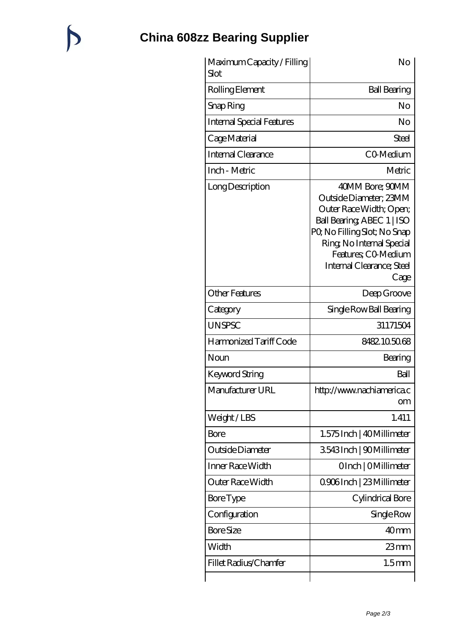## **[China 608zz Bearing Supplier](https://catchios.com)**

| Maximum Capacity / Filling<br>Slot | No                                                                                                                                                                                                                        |
|------------------------------------|---------------------------------------------------------------------------------------------------------------------------------------------------------------------------------------------------------------------------|
| Rolling Element                    | <b>Ball Bearing</b>                                                                                                                                                                                                       |
| Snap Ring                          | No                                                                                                                                                                                                                        |
| <b>Internal Special Features</b>   | No                                                                                                                                                                                                                        |
| Cage Material                      | Steel                                                                                                                                                                                                                     |
| Internal Clearance                 | CO-Medium                                                                                                                                                                                                                 |
| Inch - Metric                      | Metric                                                                                                                                                                                                                    |
| Long Description                   | 40MM Bore; 90MM<br>Outside Diameter; 23MM<br>Outer Race Width; Open;<br>Ball Bearing ABEC 1   ISO<br>PQ No Filling Slot; No Snap<br>Ring, No Internal Special<br>Features: CO-Medium<br>Internal Clearance; Steel<br>Cage |
| <b>Other Features</b>              | Deep Groove                                                                                                                                                                                                               |
| Category                           | Single Row Ball Bearing                                                                                                                                                                                                   |
| <b>UNSPSC</b>                      | 31171504                                                                                                                                                                                                                  |
| Harmonized Tariff Code             | 8482.105068                                                                                                                                                                                                               |
| Noun                               | Bearing                                                                                                                                                                                                                   |
| Keyword String                     | Ball                                                                                                                                                                                                                      |
| Manufacturer URL                   | http://www.nachiamerica.c<br><b>om</b>                                                                                                                                                                                    |
| Weight/LBS                         | 1.411                                                                                                                                                                                                                     |
| Bore                               | 1.575 Inch   40 Millimeter                                                                                                                                                                                                |
| Outside Diameter                   | 3543Inch   90Millimeter                                                                                                                                                                                                   |
| Inner Race Width                   | OInch   OMillimeter                                                                                                                                                                                                       |
| Outer Race Width                   | 0906Inch   23 Millimeter                                                                                                                                                                                                  |
| <b>Bore</b> Type                   | Cylindrical Bore                                                                                                                                                                                                          |
| Configuration                      | Single Row                                                                                                                                                                                                                |
| <b>Bore Size</b>                   | 40 <sub>mm</sub>                                                                                                                                                                                                          |
| Width                              | $23$ mm                                                                                                                                                                                                                   |
| Fillet Radius/Chamfer              | 1.5 <sub>mm</sub>                                                                                                                                                                                                         |